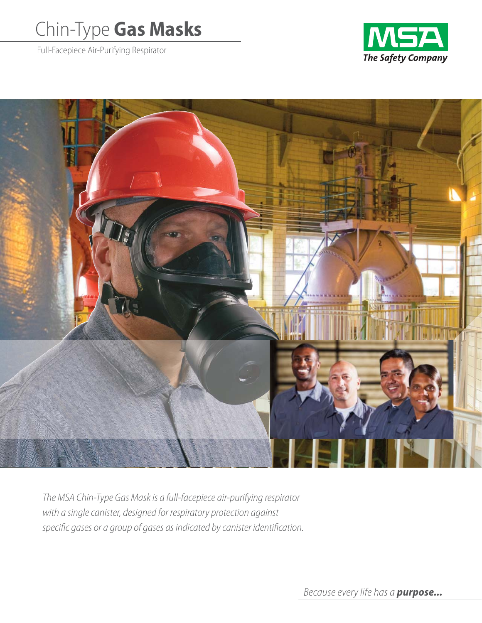# Chin-Type **Gas Masks**

Full-Facepiece Air-Purifying Respirator





The MSA Chin-Type Gas Mask is a full-facepiece air-purifying respirator with a single canister, designed for respiratory protection against specific gases or a group of gases as indicated by canister identification.

Because every life has a *purpose...*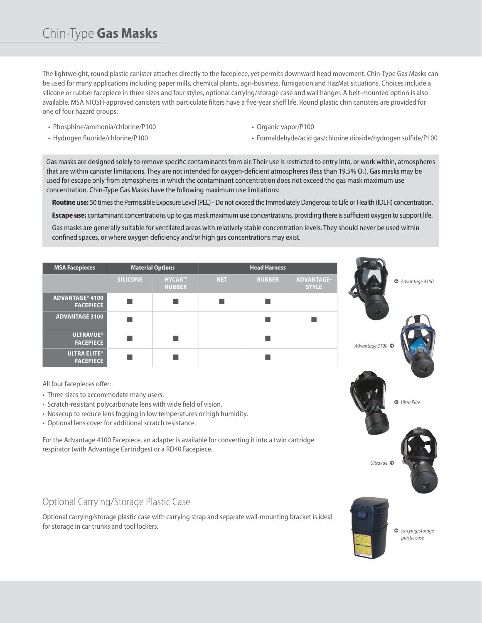The lightweight, round plastic canister attaches directly to the facepiece, yet permits downward head movement. Chin-Type Gas Masks can be used for many applications including paper mills, chemical plants, agri-business, fumigation and HazMat situations. Choices include a silicone or rubber facepiece in three sizes and four styles, optional carrying/storage case and wall hanger. A belt-mounted option is also available. MSA NIOSH-approved canisters with particulate filters have a five-year shelf life. Round plastic chin canisters are provided for one of four hazard groups:

• Phosphine/ammonia/chlorine/P100

• Organic vapor/P100

• Hydrogen fluoride/chlorine/P100

- 
- Formaldehyde/acid gas/chlorine dioxide/hydrogen sulfide/P100

Gas masks are designed solely to remove specific contaminants from air. Their use is restricted to entry into, or work within, atmospheres that are within canister limitations. They are not intended for oxygen-deficient atmospheres (less than 19.5%  $O_2$ ). Gas masks may be used for escape only from atmospheres in which the contaminant concentration does not exceed the gas mask maximum use concentration. Chin-Type Gas Masks have the following maximum use limitations:

**Routine use:** 50 times the Permissible Exposure Level (PEL) - Do not exceed the Immediately Dangerous to Life or Health (IDLH) concentration.

**Escape use:** contaminant concentrations up to gas mask maximum use concentrations, providing there is sufficient oxygen to support life.

Gas masks are generally suitable for ventilated areas with relatively stable concentration levels. They should never be used within confined spaces, or where oxygen deficiency and/or high gas concentrations may exist.

| <b>MSA Facepieces</b>                                                                                                                                                                                                        | <b>Material Options</b> |                                |            | <b>Head Harness</b> |                                   |  |
|------------------------------------------------------------------------------------------------------------------------------------------------------------------------------------------------------------------------------|-------------------------|--------------------------------|------------|---------------------|-----------------------------------|--|
|                                                                                                                                                                                                                              | <b>SILICONE</b>         | <b>HYCAR™</b><br><b>RUBBER</b> | <b>NET</b> | <b>RUBBER</b>       | <b>ADVANTAGE-</b><br><b>STYLE</b> |  |
| ADVANTAGE® 4100<br><b>FACEPIECE</b>                                                                                                                                                                                          | ■                       | ٠                              | ▅          | ▖                   |                                   |  |
| <b>ADVANTAGE 3100</b>                                                                                                                                                                                                        |                         |                                |            |                     |                                   |  |
| <b>ULTRAVUE®</b><br><b>FACEPIECE</b>                                                                                                                                                                                         |                         |                                |            |                     |                                   |  |
| <b>ULTRA ELITE®</b><br><b>FACEPIECE</b>                                                                                                                                                                                      | ┓                       | ٠                              |            | ▄                   |                                   |  |
| · Optional lens cover for additional scratch resistance.<br>For the Advantage 4100 Facepiece, an adapter is available for converting it into a twin cartridge<br>respirator (with Advantage Cartridges) or a RD40 Facepiece. |                         |                                |            |                     |                                   |  |
| Optional Carrying/Storage Plastic Case                                                                                                                                                                                       |                         |                                |            |                     |                                   |  |
| Optional carrying/storage plastic case with carrying strap and separate wall-mounting bracket is ideal<br>for storage in car trunks and tool lockers.                                                                        |                         |                                |            |                     |                                   |  |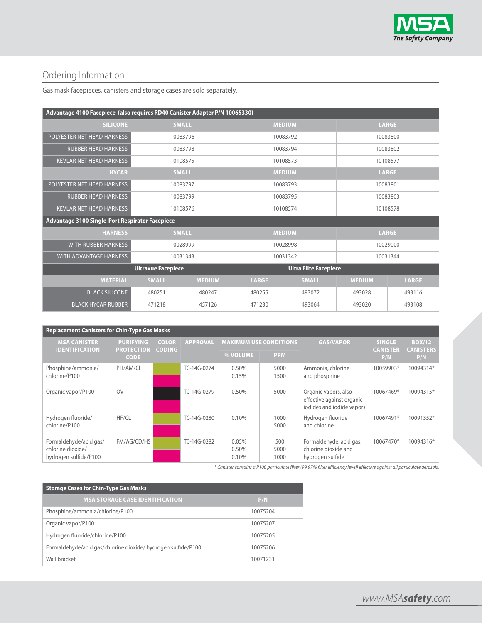

# Ordering Information

Gas mask facepieces, canisters and storage cases are sold separately.

| Advantage 4100 Facepiece (also requires RD40 Canister Adapter P/N 10065330) |                           |               |                              |              |               |              |
|-----------------------------------------------------------------------------|---------------------------|---------------|------------------------------|--------------|---------------|--------------|
| <b>SILICONE</b>                                                             | <b>SMALL</b>              |               | <b>MEDIUM</b>                |              | <b>LARGE</b>  |              |
| POLYESTER NET HEAD HARNESS                                                  |                           | 10083796      | 10083792                     |              | 10083800      |              |
| <b>RUBBER HEAD HARNESS</b>                                                  |                           | 10083798      | 10083794                     |              | 10083802      |              |
| <b>KEVLAR NET HEAD HARNESS</b>                                              | 10108575                  |               | 10108573                     |              | 10108577      |              |
| <b>HYCAR</b>                                                                | <b>SMALL</b>              |               | <b>MEDIUM</b>                |              | <b>LARGE</b>  |              |
| POLYESTER NET HEAD HARNESS                                                  | 10083797                  |               | 10083793                     |              | 10083801      |              |
| <b>RUBBER HEAD HARNESS</b>                                                  | 10083799                  |               | 10083795                     |              | 10083803      |              |
| <b>KEVLAR NET HEAD HARNESS</b>                                              | 10108576                  |               | 10108574                     |              | 10108578      |              |
| Advantage 3100 Single-Port Respirator Facepiece                             |                           |               |                              |              |               |              |
| <b>HARNESS</b>                                                              | <b>SMALL</b>              |               | <b>MEDIUM</b>                |              | <b>LARGE</b>  |              |
| <b>WITH RUBBER HARNESS</b>                                                  | 10028999                  |               | 10028998                     |              | 10029000      |              |
| WITH ADVANTAGE HARNESS                                                      | 10031343                  |               | 10031342                     |              | 10031344      |              |
|                                                                             | <b>Ultravue Facepiece</b> |               | <b>Ultra Elite Facepiece</b> |              |               |              |
| <b>MATERIAL</b>                                                             | <b>SMALL</b>              | <b>MEDIUM</b> | <b>LARGE</b>                 | <b>SMALL</b> | <b>MEDIUM</b> | <b>LARGE</b> |
| <b>BLACK SILICONE</b>                                                       | 480251                    | 480247        | 480255                       | 493072       | 493028        | 493116       |
| <b>BLACK HYCAR RUBBER</b>                                                   | 471218                    | 457126        | 471230                       | 493064       | 493020        | 493108       |

| <b>Replacement Canisters for Chin-Type Gas Masks</b>                 |                                  |               |                 |                               |                     |                                                                                |                        |                         |
|----------------------------------------------------------------------|----------------------------------|---------------|-----------------|-------------------------------|---------------------|--------------------------------------------------------------------------------|------------------------|-------------------------|
| <b>MSA CANISTER</b>                                                  | <b>PURIFYING</b>                 | <b>COLOR</b>  | <b>APPROVAL</b> | <b>MAXIMUM USE CONDITIONS</b> |                     | <b>GAS/VAPOR</b>                                                               | <b>SINGLE</b>          | <b>BOX/12</b>           |
| <b>IDENTIFICATION</b>                                                | <b>PROTECTION</b><br><b>CODE</b> | <b>CODING</b> |                 | % VOLUME                      | <b>PPM</b>          |                                                                                | <b>CANISTER</b><br>P/N | <b>CANISTERS</b><br>P/N |
| Phosphine/ammonia/<br>chlorine/P100                                  | PH/AM/CL                         |               | TC-14G-0274     | 0.50%<br>0.15%                | 5000<br>1500        | Ammonia, chlorine<br>and phosphine                                             | 10059903*              | 10094314*               |
| Organic vapor/P100                                                   | OV                               |               | TC-14G-0279     | 0.50%                         | 5000                | Organic vapors, also<br>effective against organic<br>iodides and iodide vapors | 10067469*              | 10094315*               |
| Hydrogen fluoride/<br>chlorine/P100                                  | HF/CL                            |               | TC-14G-0280     | 0.10%                         | 1000<br>5000        | Hydrogen fluoride<br>and chlorine                                              | 10067491*              | 10091352*               |
| Formaldehyde/acid gas/<br>chlorine dioxide/<br>hydrogen sulfide/P100 | FM/AG/CD/HS                      |               | TC-14G-0282     | 0.05%<br>0.50%<br>0.10%       | 500<br>5000<br>1000 | Formaldehyde, acid gas,<br>chlorine dioxide and<br>hydrogen sulfide            | 10067470*              | 10094316*               |

\* Canister contains a P100 particulate filter (99.97% filter efficiency level) effective against all particulate aerosols.

| <b>Storage Cases for Chin-Type Gas Masks</b>                  |          |  |  |  |
|---------------------------------------------------------------|----------|--|--|--|
| <b>MSA STORAGE CASE IDENTIFICATION</b>                        | P/N      |  |  |  |
| Phosphine/ammonia/chlorine/P100                               | 10075204 |  |  |  |
| Organic vapor/P100                                            | 10075207 |  |  |  |
| Hydrogen fluoride/chlorine/P100                               | 10075205 |  |  |  |
| Formaldehyde/acid qas/chlorine dioxide/ hydrogen sulfide/P100 | 10075206 |  |  |  |
| Wall bracket                                                  | 10071231 |  |  |  |